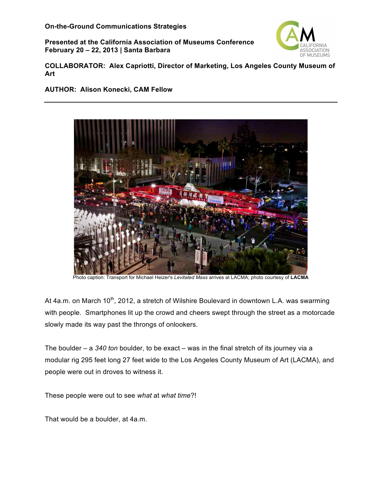**Presented at the California Association of Museums Conference February 20 – 22, 2013 | Santa Barbara**



**COLLABORATOR: Alex Capriotti, Director of Marketing, Los Angeles County Museum of Art**

### **AUTHOR: Alison Konecki, CAM Fellow**



 Photo caption: Transport for Michael Heizer's *Levitated Mass* arrives at LACMA; photo courtesy of **LACMA**

At 4a.m. on March 10<sup>th</sup>, 2012, a stretch of Wilshire Boulevard in downtown L.A. was swarming with people. Smartphones lit up the crowd and cheers swept through the street as a motorcade slowly made its way past the throngs of onlookers.

The boulder – a *340 ton* boulder, to be exact – was in the final stretch of its journey via a modular rig 295 feet long 27 feet wide to the Los Angeles County Museum of Art (LACMA), and people were out in droves to witness it.

These people were out to see *what* at *what time*?!

That would be a boulder, at 4a.m.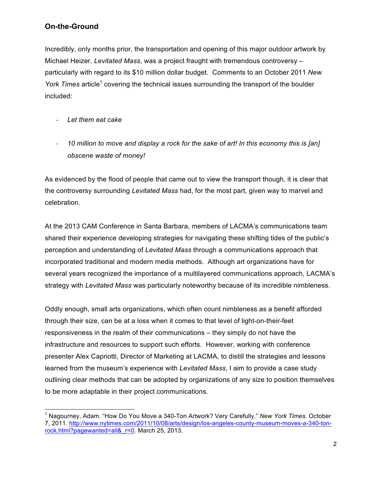Incredibly, only months prior, the transportation and opening of this major outdoor artwork by Michael Heizer, *Levitated Mass*, was a project fraught with tremendous controversy – particularly with regard to its \$10 million dollar budget. Comments to an October 2011 *New York Times* article<sup>1</sup> covering the technical issues surrounding the transport of the boulder included:

- *Let them eat cake*
- 10 million to move and display a rock for the sake of art! In this economy this is [an] *obscene waste of money!*

As evidenced by the flood of people that came out to view the transport though, it is clear that the controversy surrounding *Levitated Mass* had, for the most part, given way to marvel and celebration.

At the 2013 CAM Conference in Santa Barbara, members of LACMA's communications team shared their experience developing strategies for navigating these shifting tides of the public's perception and understanding of *Levitated Mass* through a communications approach that incorporated traditional and modern media methods. Although art organizations have for several years recognized the importance of a multilayered communications approach, LACMA's strategy with *Levitated Mass* was particularly noteworthy because of its incredible nimbleness.

Oddly enough, small arts organizations, which often count nimbleness as a benefit afforded through their size, can be at a loss when it comes to that level of light-on-their-feet responsiveness in the realm of their communications – they simply do not have the infrastructure and resources to support such efforts. However, working with conference presenter Alex Capriotti, Director of Marketing at LACMA, to distill the strategies and lessons learned from the museum's experience with *Levitated Mass*, I aim to provide a case study outlining clear methods that can be adopted by organizations of any size to position themselves to be more adaptable in their project communications.

 <sup>1</sup> Nagourney, Adam. "How Do You Move a 340-Ton Artwork? Very Carefully." *New York Times.* October 7, 2011. http://www.nytimes.com/2011/10/08/arts/design/los-angeles-county-museum-moves-a-340-tonrock.html?pagewanted=all&\_r=0. March 25, 2013.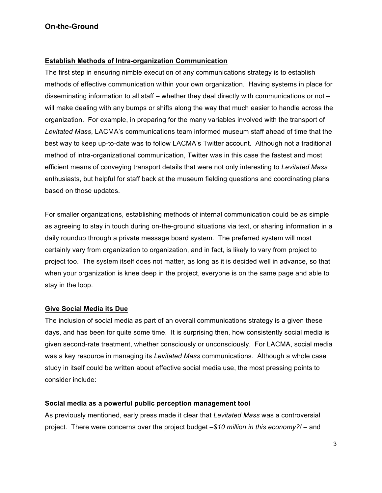#### **Establish Methods of Intra-organization Communication**

The first step in ensuring nimble execution of any communications strategy is to establish methods of effective communication within your own organization. Having systems in place for disseminating information to all staff – whether they deal directly with communications or not – will make dealing with any bumps or shifts along the way that much easier to handle across the organization. For example, in preparing for the many variables involved with the transport of *Levitated Mass*, LACMA's communications team informed museum staff ahead of time that the best way to keep up-to-date was to follow LACMA's Twitter account. Although not a traditional method of intra-organizational communication, Twitter was in this case the fastest and most efficient means of conveying transport details that were not only interesting to *Levitated Mass* enthusiasts, but helpful for staff back at the museum fielding questions and coordinating plans based on those updates.

For smaller organizations, establishing methods of internal communication could be as simple as agreeing to stay in touch during on-the-ground situations via text, or sharing information in a daily roundup through a private message board system. The preferred system will most certainly vary from organization to organization, and in fact, is likely to vary from project to project too. The system itself does not matter, as long as it is decided well in advance, so that when your organization is knee deep in the project, everyone is on the same page and able to stay in the loop.

#### **Give Social Media its Due**

The inclusion of social media as part of an overall communications strategy is a given these days, and has been for quite some time. It is surprising then, how consistently social media is given second-rate treatment, whether consciously or unconsciously. For LACMA, social media was a key resource in managing its *Levitated Mass* communications. Although a whole case study in itself could be written about effective social media use, the most pressing points to consider include:

#### **Social media as a powerful public perception management tool**

As previously mentioned, early press made it clear that *Levitated Mass* was a controversial project. There were concerns over the project budget –*\$10 million in this economy?!* – and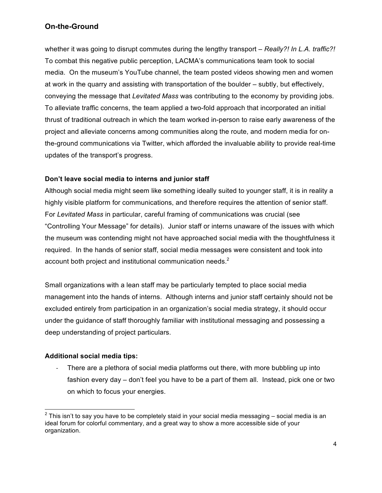whether it was going to disrupt commutes during the lengthy transport – *Really?! In L.A. traffic?!* To combat this negative public perception, LACMA's communications team took to social media. On the museum's YouTube channel, the team posted videos showing men and women at work in the quarry and assisting with transportation of the boulder – subtly, but effectively, conveying the message that *Levitated Mass* was contributing to the economy by providing jobs. To alleviate traffic concerns, the team applied a two-fold approach that incorporated an initial thrust of traditional outreach in which the team worked in-person to raise early awareness of the project and alleviate concerns among communities along the route, and modern media for onthe-ground communications via Twitter, which afforded the invaluable ability to provide real-time updates of the transport's progress.

## **Don't leave social media to interns and junior staff**

Although social media might seem like something ideally suited to younger staff, it is in reality a highly visible platform for communications, and therefore requires the attention of senior staff. For *Levitated Mass* in particular, careful framing of communications was crucial (see "Controlling Your Message" for details). Junior staff or interns unaware of the issues with which the museum was contending might not have approached social media with the thoughtfulness it required. In the hands of senior staff, social media messages were consistent and took into account both project and institutional communication needs. $2$ 

Small organizations with a lean staff may be particularly tempted to place social media management into the hands of interns. Although interns and junior staff certainly should not be excluded entirely from participation in an organization's social media strategy, it should occur under the guidance of staff thoroughly familiar with institutional messaging and possessing a deep understanding of project particulars.

## **Additional social media tips:**

There are a plethora of social media platforms out there, with more bubbling up into fashion every day – don't feel you have to be a part of them all. Instead, pick one or two on which to focus your energies.

 $2$  This isn't to say you have to be completely staid in your social media messaging – social media is an ideal forum for colorful commentary, and a great way to show a more accessible side of your organization.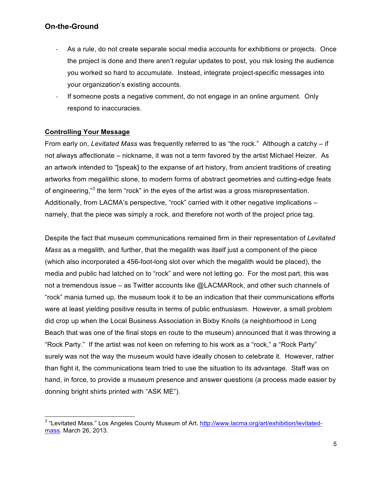- As a rule, do not create separate social media accounts for exhibitions or projects. Once the project is done and there aren't regular updates to post, you risk losing the audience you worked so hard to accumulate. Instead, integrate project-specific messages into your organization's existing accounts.
- If someone posts a negative comment, do not engage in an online argument. Only respond to inaccuracies.

## **Controlling Your Message**

From early on, *Levitated Mass* was frequently referred to as "the rock." Although a catchy – if not always affectionate – nickname, it was not a term favored by the artist Michael Heizer. As an artwork intended to "[speak] to the expanse of art history, from ancient traditions of creating artworks from megalithic stone, to modern forms of abstract geometries and cutting-edge feats of engineering,"<sup>3</sup> the term "rock" in the eyes of the artist was a gross misrepresentation. Additionally, from LACMA's perspective, "rock" carried with it other negative implications – namely, that the piece was simply a rock, and therefore not worth of the project price tag.

Despite the fact that museum communications remained firm in their representation of *Levitated Mass* as a megalith, and further, that the megalith was itself just a component of the piece (which also incorporated a 456-foot-long slot over which the megalith would be placed), the media and public had latched on to "rock" and were not letting go. For the most part, this was not a tremendous issue – as Twitter accounts like @LACMARock, and other such channels of "rock" mania turned up, the museum took it to be an indication that their communications efforts were at least yielding positive results in terms of public enthusiasm. However, a small problem did crop up when the Local Business Association in Bixby Knolls (a neighborhood in Long Beach that was one of the final stops en route to the museum) announced that it was throwing a "Rock Party." If the artist was not keen on referring to his work as a "rock," a "Rock Party" surely was not the way the museum would have ideally chosen to celebrate it. However, rather than fight it, the communications team tried to use the situation to its advantage. Staff was on hand, in force, to provide a museum presence and answer questions (a process made easier by donning bright shirts printed with "ASK ME").

<sup>&</sup>lt;sup>3</sup> "Levitated Mass." Los Angeles County Museum of Art. http://www.lacma.org/art/exhibition/levitatedmass. March 26, 2013.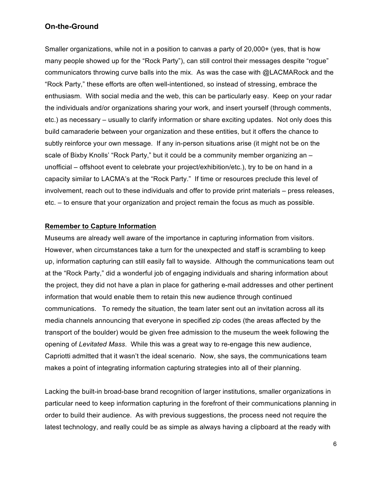Smaller organizations, while not in a position to canvas a party of 20,000+ (yes, that is how many people showed up for the "Rock Party"), can still control their messages despite "rogue" communicators throwing curve balls into the mix. As was the case with @LACMARock and the "Rock Party," these efforts are often well-intentioned, so instead of stressing, embrace the enthusiasm. With social media and the web, this can be particularly easy. Keep on your radar the individuals and/or organizations sharing your work, and insert yourself (through comments, etc.) as necessary – usually to clarify information or share exciting updates. Not only does this build camaraderie between your organization and these entities, but it offers the chance to subtly reinforce your own message. If any in-person situations arise (it might not be on the scale of Bixby Knolls' "Rock Party," but it could be a community member organizing an – unofficial – offshoot event to celebrate your project/exhibition/etc.), try to be on hand in a capacity similar to LACMA's at the "Rock Party." If time or resources preclude this level of involvement, reach out to these individuals and offer to provide print materials – press releases, etc. – to ensure that your organization and project remain the focus as much as possible.

#### **Remember to Capture Information**

Museums are already well aware of the importance in capturing information from visitors. However, when circumstances take a turn for the unexpected and staff is scrambling to keep up, information capturing can still easily fall to wayside. Although the communications team out at the "Rock Party," did a wonderful job of engaging individuals and sharing information about the project, they did not have a plan in place for gathering e-mail addresses and other pertinent information that would enable them to retain this new audience through continued communications. To remedy the situation, the team later sent out an invitation across all its media channels announcing that everyone in specified zip codes (the areas affected by the transport of the boulder) would be given free admission to the museum the week following the opening of *Levitated Mass*. While this was a great way to re-engage this new audience, Capriotti admitted that it wasn't the ideal scenario. Now, she says, the communications team makes a point of integrating information capturing strategies into all of their planning.

Lacking the built-in broad-base brand recognition of larger institutions, smaller organizations in particular need to keep information capturing in the forefront of their communications planning in order to build their audience. As with previous suggestions, the process need not require the latest technology, and really could be as simple as always having a clipboard at the ready with